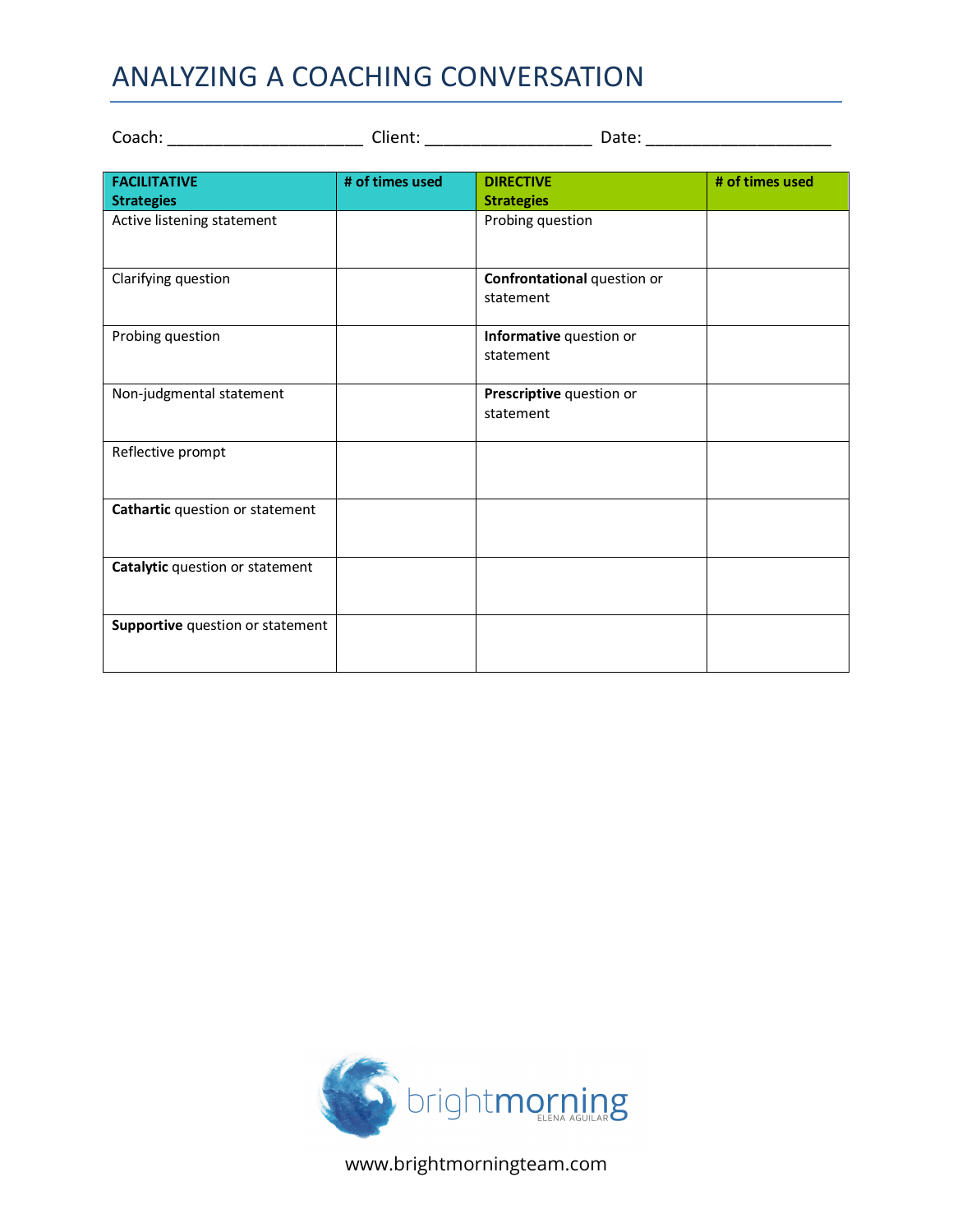## ANALYZING A COACHING CONVERSATION

| <b>FACILITATIVE</b><br><b>Strategies</b> | # of times used | <b>DIRECTIVE</b><br><b>Strategies</b>    | # of times used |
|------------------------------------------|-----------------|------------------------------------------|-----------------|
| Active listening statement               |                 | Probing question                         |                 |
| Clarifying question                      |                 | Confrontational question or<br>statement |                 |
| Probing question                         |                 | Informative question or<br>statement     |                 |
| Non-judgmental statement                 |                 | Prescriptive question or<br>statement    |                 |
| Reflective prompt                        |                 |                                          |                 |
| Cathartic question or statement          |                 |                                          |                 |
| Catalytic question or statement          |                 |                                          |                 |
| Supportive question or statement         |                 |                                          |                 |



www.brightmorningteam.com